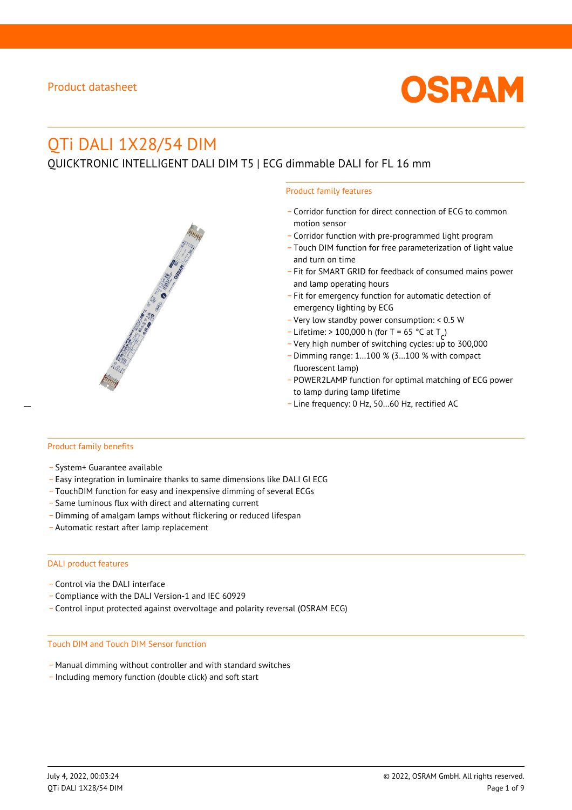

# QTi DALI 1X28/54 DIM

QUICKTRONIC INTELLIGENT DALI DIM T5 | ECG dimmable DALI for FL 16 mm



- \_ Corridor function for direct connection of ECG to common motion sensor
- \_ Corridor function with pre-programmed light program
- \_ Touch DIM function for free parameterization of light value and turn on time
- Fit for SMART GRID for feedback of consumed mains power and lamp operating hours
- \_ Fit for emergency function for automatic detection of emergency lighting by ECG
- \_ Very low standby power consumption: < 0.5 W
- $-$  Lifetime: > 100,000 h (for T = 65 °C at T
- Litedine. The 100,000 in (ion 1 05 ° C at  $1\frac{c^7}{c^7}$ <br>- Very high number of switching cycles: up to 300,000
- \_ Dimming range: 1…100 % (3…100 % with compact fluorescent lamp)
- POWER2LAMP function for optimal matching of ECG power to lamp during lamp lifetime
- Line frequency: 0 Hz, 50...60 Hz, rectified AC

#### Product family benefits

- \_ System+ Guarantee available
- \_ Easy integration in luminaire thanks to same dimensions like DALI GI ECG
- \_ TouchDIM function for easy and inexpensive dimming of several ECGs
- \_ Same luminous flux with direct and alternating current
- \_ Dimming of amalgam lamps without flickering or reduced lifespan
- \_ Automatic restart after lamp replacement

#### DALI product features

- Control via the DALI interface
- \_ Compliance with the DALI Version-1 and IEC 60929
- \_ Control input protected against overvoltage and polarity reversal (OSRAM ECG)

#### Touch DIM and Touch DIM Sensor function

- \_ Manual dimming without controller and with standard switches
- \_ Including memory function (double click) and soft start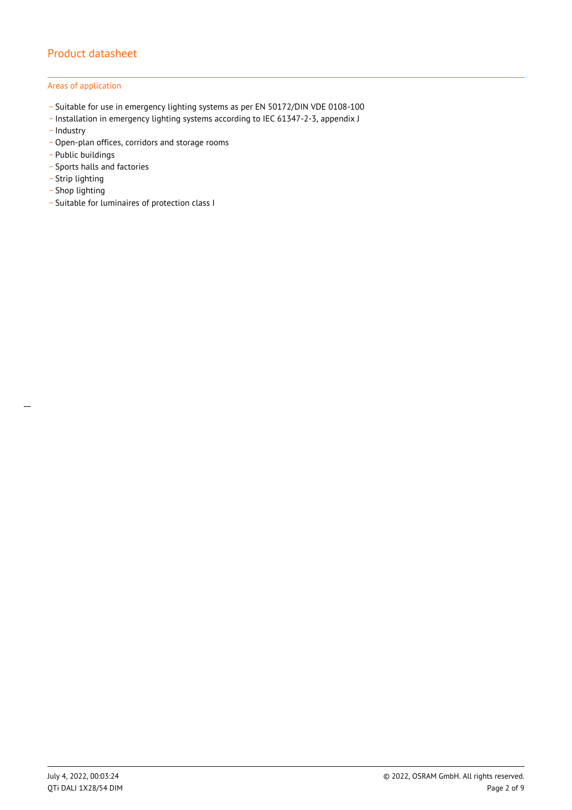### Areas of application

- \_ Suitable for use in emergency lighting systems as per EN 50172/DIN VDE 0108-100
- \_ Installation in emergency lighting systems according to IEC 61347-2-3, appendix J
- Industry
- \_ Open-plan offices, corridors and storage rooms
- \_ Public buildings
- \_ Sports halls and factories
- .<br>- Strip lighting
- \_ Shop lighting

 $\overline{a}$ 

\_ Suitable for luminaires of protection class I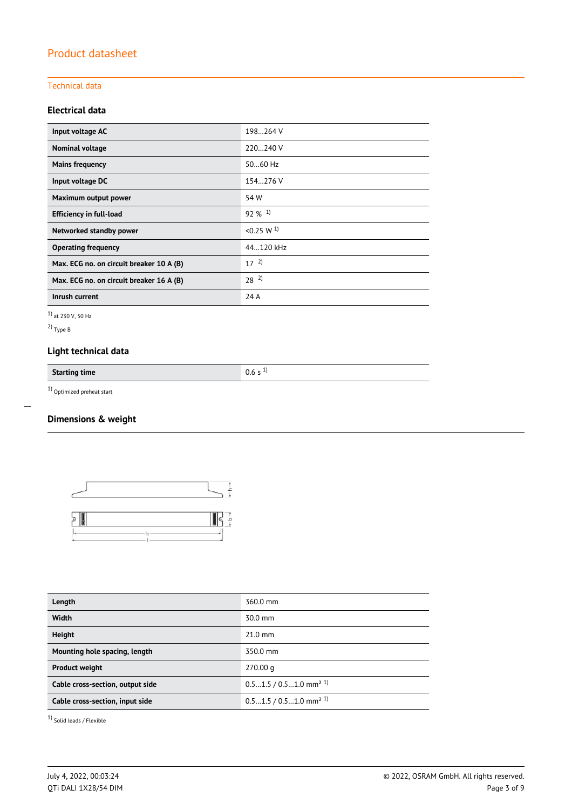#### Technical data

## **Electrical data**

| Input voltage AC                         | 198264 V              |
|------------------------------------------|-----------------------|
| Nominal voltage                          | 220240 V              |
| <b>Mains frequency</b>                   | 5060 Hz               |
| Input voltage DC                         | 154.276 V             |
| Maximum output power                     | 54 W                  |
| <b>Efficiency in full-load</b>           | $92\%$ <sup>1)</sup>  |
| Networked standby power                  | < 0.25 W <sup>1</sup> |
| <b>Operating frequency</b>               | 44.120 kHz            |
| Max. ECG no. on circuit breaker 10 A (B) | $17^{2}$              |
| Max. ECG no. on circuit breaker 16 A (B) | $28^{2}$              |
| Inrush current                           | 24 A                  |

1) at 230 V, 50 Hz

2) Type B

 $\overline{a}$ 

# **Light technical data**

**Starting time** 0.6 s <sup>1)</sup>

1) Optimized preheat start

## **Dimensions & weight**



| Length                           | 360.0 mm                             |
|----------------------------------|--------------------------------------|
| <b>Width</b>                     | $30.0$ mm                            |
| <b>Height</b>                    | $21.0$ mm                            |
| Mounting hole spacing, length    | 350.0 mm                             |
| <b>Product weight</b>            | 270.00 <sub>q</sub>                  |
| Cable cross-section, output side | $0.51.5/0.51.0$ mm <sup>2 1)</sup>   |
| Cable cross-section, input side  | $0.51.5 / 0.51.0$ mm <sup>2 1)</sup> |
|                                  |                                      |

1) Solid leads / Flexible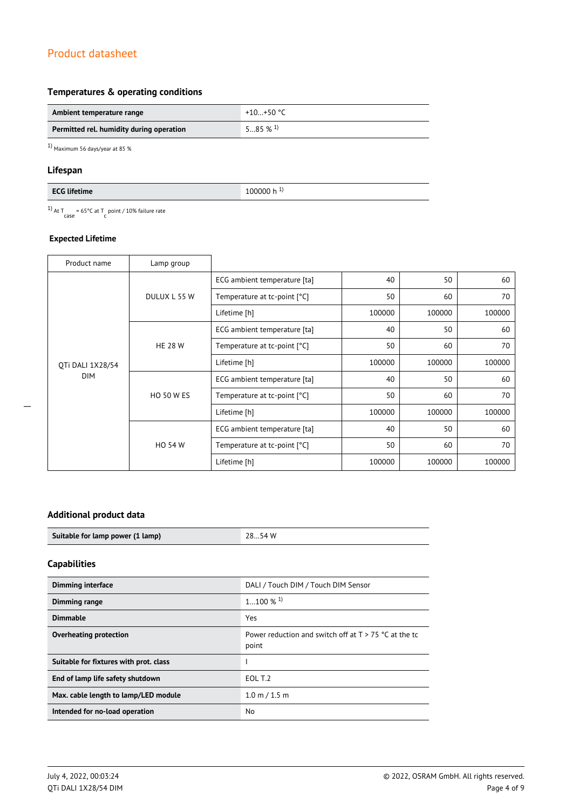## **Temperatures & operating conditions**

| Ambient temperature range                | +10…+50 °C            |
|------------------------------------------|-----------------------|
| Permitted rel. humidity during operation | $585\%$ <sup>1)</sup> |

 $1)$  Maximum 56 days/year at 85  $\%$ 

### **Lifespan**

| <b>FCG lifetin</b><br>time<br>. | 0000 h<br>$^{\prime}$<br><b>.</b><br>. |
|---------------------------------|----------------------------------------|
|                                 |                                        |

<sup>1)</sup> At T<sub>case</sub> = 65°C at T<sub>c</sub> point / 10% failure rate

### **Expected Lifetime**

| Product name     | Lamp group        |                              |        |        |        |
|------------------|-------------------|------------------------------|--------|--------|--------|
|                  | DULUX L 55 W      | ECG ambient temperature [ta] | 40     | 50     | 60     |
|                  |                   | Temperature at tc-point [°C] | 50     | 60     | 70     |
|                  |                   | Lifetime [h]                 | 100000 | 100000 | 100000 |
|                  |                   | ECG ambient temperature [ta] | 40     | 50     | 60     |
|                  | <b>HE 28 W</b>    | Temperature at tc-point [°C] | 50     | 60     | 70     |
| OTi DALI 1X28/54 |                   | Lifetime [h]                 | 100000 | 100000 | 100000 |
| <b>DIM</b>       |                   | ECG ambient temperature [ta] | 40     | 50     | 60     |
|                  | <b>HO 50 W ES</b> | Temperature at tc-point [°C] | 50     | 60     | 70     |
|                  |                   | Lifetime [h]                 | 100000 | 100000 | 100000 |
|                  | <b>HO 54 W</b>    | ECG ambient temperature [ta] | 40     | 50     | 60     |
|                  |                   | Temperature at tc-point [°C] | 50     | 60     | 70     |
|                  |                   | Lifetime [h]                 | 100000 | 100000 | 100000 |

## **Additional product data**

| Suitable for lamp power (1 lamp) | 2854 W |
|----------------------------------|--------|
|                                  |        |

# **Capabilities**

| <b>Dimming interface</b>               | DALI / Touch DIM / Touch DIM Sensor                              |
|----------------------------------------|------------------------------------------------------------------|
| Dimming range                          | $1100\%$ <sup>1)</sup>                                           |
| <b>Dimmable</b>                        | Yes                                                              |
| Overheating protection                 | Power reduction and switch off at $T > 75$ °C at the tc<br>point |
| Suitable for fixtures with prot. class |                                                                  |
| End of lamp life safety shutdown       | EOL T.2                                                          |
| Max. cable length to lamp/LED module   | 1.0 m / 1.5 m                                                    |
| Intended for no-load operation         | No                                                               |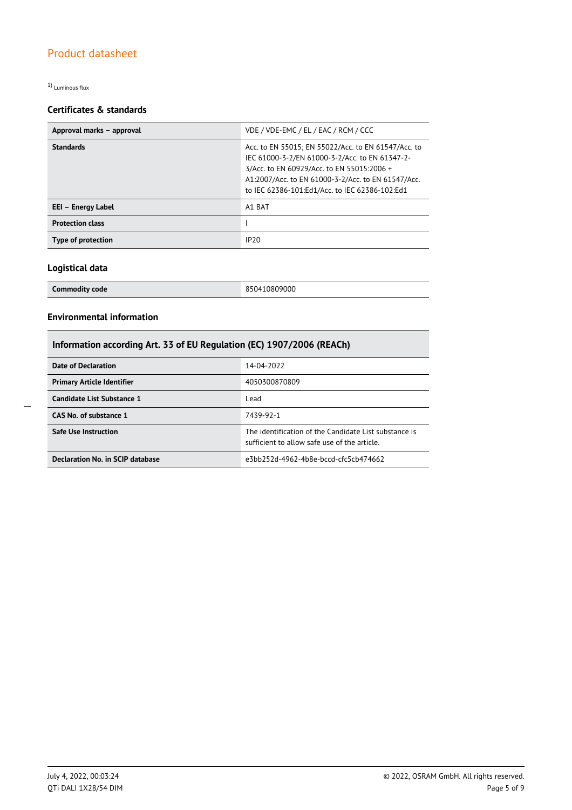1) Luminous flux

## **Certificates & standards**

| Approval marks - approval | VDE / VDE-EMC / EL / EAC / RCM / CCC                                                                                                                                                                                                                        |  |
|---------------------------|-------------------------------------------------------------------------------------------------------------------------------------------------------------------------------------------------------------------------------------------------------------|--|
| <b>Standards</b>          | Acc. to EN 55015; EN 55022/Acc. to EN 61547/Acc. to<br>IEC 61000-3-2/EN 61000-3-2/Acc. to EN 61347-2-<br>3/Acc. to EN 60929/Acc. to EN 55015:2006 +<br>A1:2007/Acc. to EN 61000-3-2/Acc. to EN 61547/Acc.<br>to IEC 62386-101:Ed1/Acc. to IEC 62386-102:Ed1 |  |
| EEI - Energy Label        | A1 BAT                                                                                                                                                                                                                                                      |  |
| <b>Protection class</b>   |                                                                                                                                                                                                                                                             |  |
| Type of protection        | IP20                                                                                                                                                                                                                                                        |  |

### **Logistical data**

| <b>Commodity code</b> | 850410809000 |
|-----------------------|--------------|

## **Environmental information**

# **Information according Art. 33 of EU Regulation (EC) 1907/2006 (REACh)**

| Date of Declaration               | 14-04-2022                                                                                            |
|-----------------------------------|-------------------------------------------------------------------------------------------------------|
| <b>Primary Article Identifier</b> | 4050300870809                                                                                         |
| Candidate List Substance 1        | Lead                                                                                                  |
| CAS No. of substance 1            | 7439-92-1                                                                                             |
| <b>Safe Use Instruction</b>       | The identification of the Candidate List substance is<br>sufficient to allow safe use of the article. |
| Declaration No. in SCIP database  | e3bb252d-4962-4b8e-bccd-cfc5cb474662                                                                  |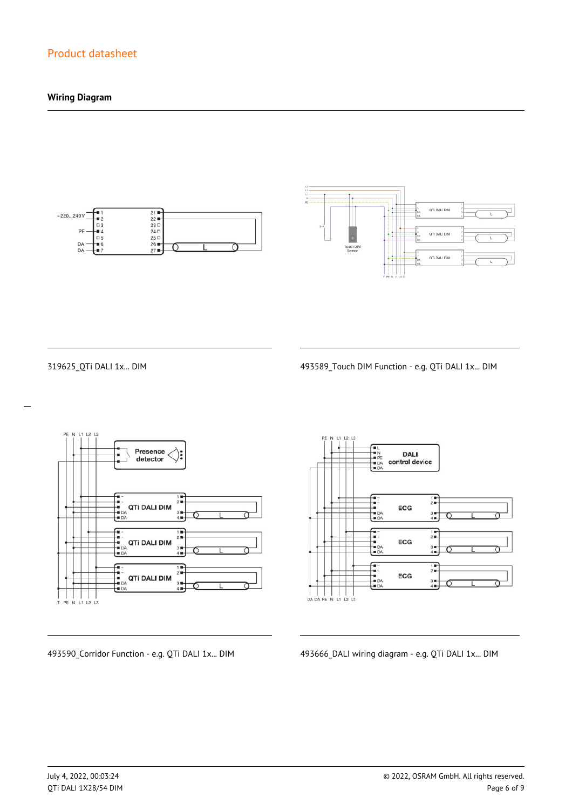## **Wiring Diagram**





 $\overline{a}$ 

319625\_QTi DALI 1x... DIM 493589\_Touch DIM Function - e.g. QTi DALI 1x... DIM



**DALI** control device  $\frac{1}{2}$ ECG  $\frac{3}{4}$  $\begin{array}{c}\n\overline{11} \\
\overline{21} \\
\overline{11}\n\end{array}$ -<br>- 1<br>- DA<br>- DA ECG  $3 +$ <br> $4 +$  $\frac{1}{2}$ --<br>--<br>-- DA<br>-- DA ECG  $3 +$ <br> $4 +$ 

493590\_Corridor Function - e.g. QTi DALI 1x... DIM 493666\_DALI wiring diagram - e.g. QTi DALI 1x... DIM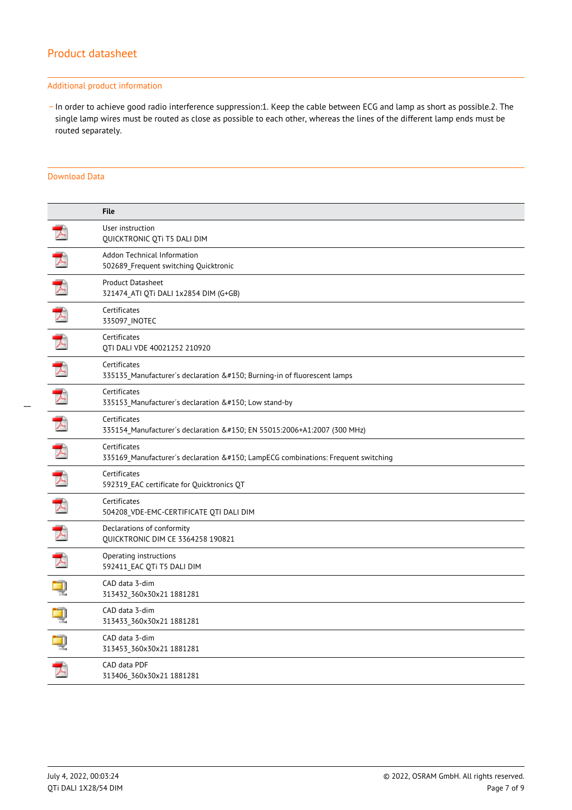#### Additional product information

\_ In order to achieve good radio interference suppression:1. Keep the cable between ECG and lamp as short as possible.2. The single lamp wires must be routed as close as possible to each other, whereas the lines of the different lamp ends must be routed separately.

#### Download Data

|               | <b>File</b>                                                                                  |
|---------------|----------------------------------------------------------------------------------------------|
|               | User instruction<br>QUICKTRONIC QTi T5 DALI DIM                                              |
| ブ             | Addon Technical Information<br>502689_Frequent switching Quicktronic                         |
| 大             | <b>Product Datasheet</b><br>321474 ATI QTi DALI 1x2854 DIM (G+GB)                            |
| 大             | Certificates<br>335097_INOTEC                                                                |
|               | Certificates<br>QTI DALI VDE 40021252 210920                                                 |
|               | Certificates<br>335135 Manufacturer's declaration – Burning-in of fluorescent lamps          |
| 丈             | Certificates<br>335153 Manufacturer's declaration – Low stand-by                             |
| 玉             | Certificates<br>335154 Manufacturer's declaration – EN 55015:2006+A1:2007 (300 MHz)          |
| $\mathcal{L}$ | Certificates<br>335169 Manufacturer's declaration – LampECG combinations: Frequent switching |
| 丈             | Certificates<br>592319 EAC certificate for Quicktronics QT                                   |
| 了             | Certificates<br>504208_VDE-EMC-CERTIFICATE QTI DALI DIM                                      |
| 飞             | Declarations of conformity<br><b>QUICKTRONIC DIM CE 3364258 190821</b>                       |
| 人             | Operating instructions<br>592411 EAC QTi T5 DALI DIM                                         |
|               | CAD data 3-dim<br>313432 360x30x21 1881281                                                   |
|               | CAD data 3-dim<br>313433_360x30x21 1881281                                                   |
|               | CAD data 3-dim<br>313453 360x30x21 1881281                                                   |
|               | CAD data PDF<br>313406 360x30x21 1881281                                                     |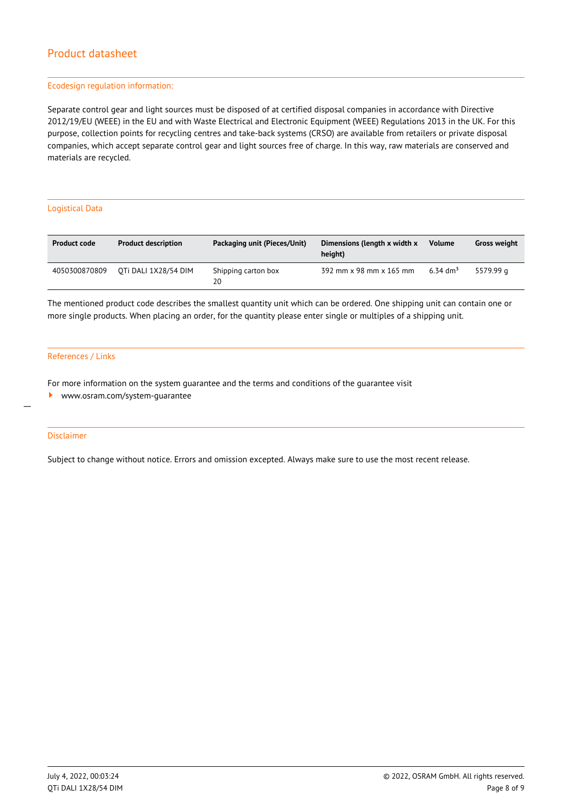#### Ecodesign regulation information:

Separate control gear and light sources must be disposed of at certified disposal companies in accordance with Directive 2012/19/EU (WEEE) in the EU and with Waste Electrical and Electronic Equipment (WEEE) Regulations 2013 in the UK. For this purpose, collection points for recycling centres and take-back systems (CRSO) are available from retailers or private disposal companies, which accept separate control gear and light sources free of charge. In this way, raw materials are conserved and materials are recycled.

#### Logistical Data

| <b>Product code</b> | <b>Product description</b> | Packaging unit (Pieces/Unit) | Dimensions (length x width x<br>height) | <b>Volume</b>        | <b>Gross weight</b> |
|---------------------|----------------------------|------------------------------|-----------------------------------------|----------------------|---------------------|
| 4050300870809       | OTI DALI 1X28/54 DIM       | Shipping carton box<br>20    | 392 mm x 98 mm x 165 mm                 | 6.34 dm <sup>3</sup> | 5579.99 a           |

The mentioned product code describes the smallest quantity unit which can be ordered. One shipping unit can contain one or more single products. When placing an order, for the quantity please enter single or multiples of a shipping unit.

#### References / Links

For more information on the system guarantee and the terms and conditions of the guarantee visit

<www.osram.com/system-guarantee>

#### Disclaimer

 $\overline{a}$ 

Subject to change without notice. Errors and omission excepted. Always make sure to use the most recent release.